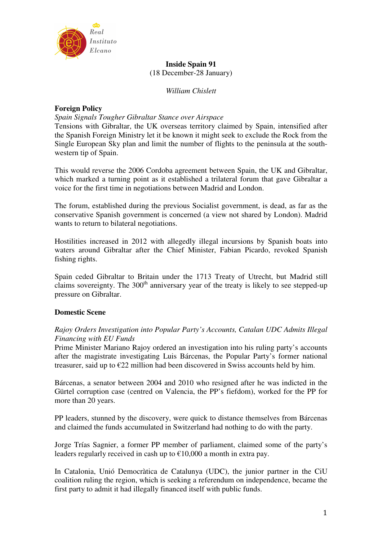

# **Inside Spain 91**  (18 December-28 January)

*William Chislett* 

# **Foreign Policy**

## *Spain Signals Tougher Gibraltar Stance over Airspace*

Tensions with Gibraltar, the UK overseas territory claimed by Spain, intensified after the Spanish Foreign Ministry let it be known it might seek to exclude the Rock from the Single European Sky plan and limit the number of flights to the peninsula at the southwestern tip of Spain.

This would reverse the 2006 Cordoba agreement between Spain, the UK and Gibraltar, which marked a turning point as it established a trilateral forum that gave Gibraltar a voice for the first time in negotiations between Madrid and London.

The forum, established during the previous Socialist government, is dead, as far as the conservative Spanish government is concerned (a view not shared by London). Madrid wants to return to bilateral negotiations.

Hostilities increased in 2012 with allegedly illegal incursions by Spanish boats into waters around Gibraltar after the Chief Minister, Fabian Picardo, revoked Spanish fishing rights.

Spain ceded Gibraltar to Britain under the 1713 Treaty of Utrecht, but Madrid still claims sovereignty. The  $300<sup>th</sup>$  anniversary year of the treaty is likely to see stepped-up pressure on Gibraltar.

# **Domestic Scene**

# *Rajoy Orders Investigation into Popular Party's Accounts, Catalan UDC Admits Illegal Financing with EU Funds*

Prime Minister Mariano Rajoy ordered an investigation into his ruling party's accounts after the magistrate investigating Luis Bárcenas, the Popular Party's former national treasurer, said up to  $\epsilon$ 22 million had been discovered in Swiss accounts held by him.

Bárcenas, a senator between 2004 and 2010 who resigned after he was indicted in the Gürtel corruption case (centred on Valencia, the PP's fiefdom), worked for the PP for more than 20 years.

PP leaders, stunned by the discovery, were quick to distance themselves from Bárcenas and claimed the funds accumulated in Switzerland had nothing to do with the party.

Jorge Trías Sagnier, a former PP member of parliament, claimed some of the party's leaders regularly received in cash up to  $\epsilon$ 10,000 a month in extra pay.

In Catalonia, Unió Democràtica de Catalunya (UDC), the junior partner in the CiU coalition ruling the region, which is seeking a referendum on independence, became the first party to admit it had illegally financed itself with public funds.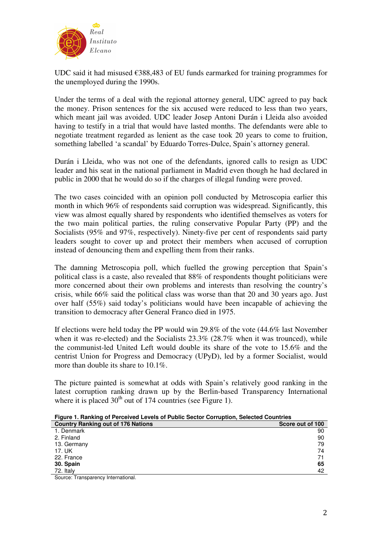

UDC said it had misused  $\epsilon$ 388,483 of EU funds earmarked for training programmes for the unemployed during the 1990s.

Under the terms of a deal with the regional attorney general, UDC agreed to pay back the money. Prison sentences for the six accused were reduced to less than two years, which meant jail was avoided. UDC leader Josep Antoni Durán i Lleida also avoided having to testify in a trial that would have lasted months. The defendants were able to negotiate treatment regarded as lenient as the case took 20 years to come to fruition, something labelled 'a scandal' by Eduardo Torres-Dulce, Spain's attorney general.

Durán i Lleida, who was not one of the defendants, ignored calls to resign as UDC leader and his seat in the national parliament in Madrid even though he had declared in public in 2000 that he would do so if the charges of illegal funding were proved.

The two cases coincided with an opinion poll conducted by Metroscopia earlier this month in which 96% of respondents said corruption was widespread. Significantly, this view was almost equally shared by respondents who identified themselves as voters for the two main political parties, the ruling conservative Popular Party (PP) and the Socialists (95% and 97%, respectively). Ninety-five per cent of respondents said party leaders sought to cover up and protect their members when accused of corruption instead of denouncing them and expelling them from their ranks.

The damning Metroscopia poll, which fuelled the growing perception that Spain's political class is a caste, also revealed that 88% of respondents thought politicians were more concerned about their own problems and interests than resolving the country's crisis, while 66% said the political class was worse than that 20 and 30 years ago. Just over half (55%) said today's politicians would have been incapable of achieving the transition to democracy after General Franco died in 1975.

If elections were held today the PP would win 29.8% of the vote (44.6% last November when it was re-elected) and the Socialists  $23.3\%$  (28.7% when it was trounced), while the communist-led United Left would double its share of the vote to 15.6% and the centrist Union for Progress and Democracy (UPyD), led by a former Socialist, would more than double its share to 10.1%.

The picture painted is somewhat at odds with Spain's relatively good ranking in the latest corruption ranking drawn up by the Berlin-based Transparency International where it is placed  $30<sup>th</sup>$  out of 174 countries (see Figure 1).

|  | Figure 1. Ranking of Perceived Levels of Public Sector Corruption, Selected Countries |  |  |  |
|--|---------------------------------------------------------------------------------------|--|--|--|
|  |                                                                                       |  |  |  |

| <b>Country Ranking out of 176 Nations</b> | Score out of 100 |
|-------------------------------------------|------------------|
| 1. Denmark                                | 90               |
| 2. Finland                                | 90               |
| 13. Germany                               | 79               |
| 17. UK                                    | 74               |
| 22. France                                | 71               |
| 30. Spain                                 | 65               |
| 72. Italy                                 | 42               |

Source: Transparency International.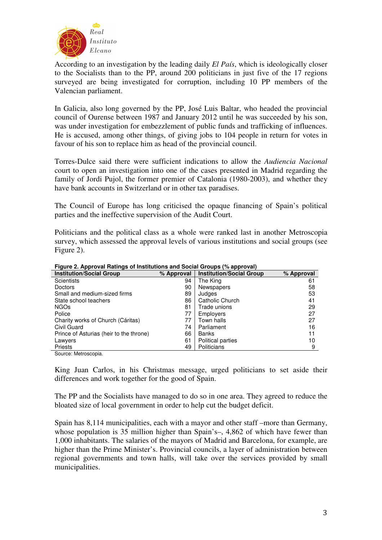

According to an investigation by the leading daily *El País*, which is ideologically closer to the Socialists than to the PP, around 200 politicians in just five of the 17 regions surveyed are being investigated for corruption, including 10 PP members of the Valencian parliament.

In Galicia, also long governed by the PP, José Luis Baltar, who headed the provincial council of Ourense between 1987 and January 2012 until he was succeeded by his son, was under investigation for embezzlement of public funds and trafficking of influences. He is accused, among other things, of giving jobs to 104 people in return for votes in favour of his son to replace him as head of the provincial council.

Torres-Dulce said there were sufficient indications to allow the *Audiencia Nacional* court to open an investigation into one of the cases presented in Madrid regarding the family of Jordi Pujol, the former premier of Catalonia (1980-2003), and whether they have bank accounts in Switzerland or in other tax paradises.

The Council of Europe has long criticised the opaque financing of Spain's political parties and the ineffective supervision of the Audit Court.

Politicians and the political class as a whole were ranked last in another Metroscopia survey, which assessed the approval levels of various institutions and social groups (see Figure 2).

| 75 F                                    |            |                                 |            |  |  |  |
|-----------------------------------------|------------|---------------------------------|------------|--|--|--|
| <b>Institution/Social Group</b>         | % Approval | <b>Institution/Social Group</b> | % Approval |  |  |  |
| <b>Scientists</b>                       | 94         | The King                        | 61         |  |  |  |
| <b>Doctors</b>                          | 90         | Newspapers                      | 58         |  |  |  |
| Small and medium-sized firms            | 89         | Judges                          | 53         |  |  |  |
| State school teachers                   | 86         | Catholic Church                 | 41         |  |  |  |
| <b>NGOs</b>                             | 81         | Trade unions                    | 29         |  |  |  |
| Police                                  | 77         | Employers                       | 27         |  |  |  |
| Charity works of Church (Cáritas)       | 77         | Town halls                      | 27         |  |  |  |
| Civil Guard                             | 74         | Parliament                      | 16         |  |  |  |
| Prince of Asturias (heir to the throne) | 66         | Banks                           | 11         |  |  |  |
| Lawyers                                 | 61         | <b>Political parties</b>        | 10         |  |  |  |
| <b>Priests</b>                          | 49         | Politicians                     | 9          |  |  |  |
| Course: Motrossopia                     |            |                                 |            |  |  |  |

**Figure 2. Approval Ratings of Institutions and Social Groups (% approval)** 

Source: Metroscopia.

King Juan Carlos, in his Christmas message, urged politicians to set aside their differences and work together for the good of Spain.

The PP and the Socialists have managed to do so in one area. They agreed to reduce the bloated size of local government in order to help cut the budget deficit.

Spain has 8,114 municipalities, each with a mayor and other staff –more than Germany, whose population is 35 million higher than Spain's–, 4,862 of which have fewer than 1,000 inhabitants. The salaries of the mayors of Madrid and Barcelona, for example, are higher than the Prime Minister's. Provincial councils, a layer of administration between regional governments and town halls, will take over the services provided by small municipalities.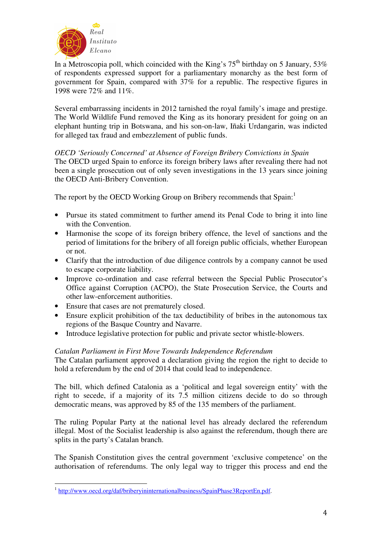

In a Metroscopia poll, which coincided with the King's  $75<sup>th</sup>$  birthday on 5 January,  $53\%$ of respondents expressed support for a parliamentary monarchy as the best form of government for Spain, compared with 37% for a republic. The respective figures in 1998 were 72% and 11%.

Several embarrassing incidents in 2012 tarnished the royal family's image and prestige. The World Wildlife Fund removed the King as its honorary president for going on an elephant hunting trip in Botswana, and his son-on-law, Iñaki Urdangarin, was indicted for alleged tax fraud and embezzlement of public funds.

# *OECD 'Seriously Concerned' at Absence of Foreign Bribery Convictions in Spain*

The OECD urged Spain to enforce its foreign bribery laws after revealing there had not been a single prosecution out of only seven investigations in the 13 years since joining the OECD Anti-Bribery Convention.

The report by the OECD Working Group on Bribery recommends that Spain:<sup>1</sup>

- Pursue its stated commitment to further amend its Penal Code to bring it into line with the Convention.
- Harmonise the scope of its foreign bribery offence, the level of sanctions and the period of limitations for the bribery of all foreign public officials, whether European or not.
- Clarify that the introduction of due diligence controls by a company cannot be used to escape corporate liability.
- Improve co-ordination and case referral between the Special Public Prosecutor's Office against Corruption (ACPO), the State Prosecution Service, the Courts and other law-enforcement authorities.
- Ensure that cases are not prematurely closed.
- Ensure explicit prohibition of the tax deductibility of bribes in the autonomous tax regions of the Basque Country and Navarre.
- Introduce legislative protection for public and private sector whistle-blowers.

# *Catalan Parliament in First Move Towards Independence Referendum*

The Catalan parliament approved a declaration giving the region the right to decide to hold a referendum by the end of 2014 that could lead to independence.

The bill, which defined Catalonia as a 'political and legal sovereign entity' with the right to secede, if a majority of its 7.5 million citizens decide to do so through democratic means, was approved by 85 of the 135 members of the parliament.

The ruling Popular Party at the national level has already declared the referendum illegal. Most of the Socialist leadership is also against the referendum, though there are splits in the party's Catalan branch.

The Spanish Constitution gives the central government 'exclusive competence' on the authorisation of referendums. The only legal way to trigger this process and end the

 $\overline{a}$ 

<sup>&</sup>lt;sup>1</sup> http://www.oecd.org/daf/briberyininternationalbusiness/SpainPhase3ReportEn.pdf.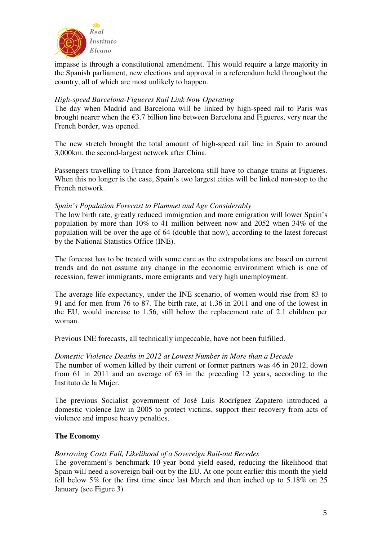

impasse is through a constitutional amendment. This would require a large majority in the Spanish parliament, new elections and approval in a referendum held throughout the country, all of which are most unlikely to happen.

## *High-speed Barcelona-Figueres Rail Link Now Operating*

The day when Madrid and Barcelona will be linked by high-speed rail to Paris was brought nearer when the €3.7 billion line between Barcelona and Figueres, very near the French border, was opened.

The new stretch brought the total amount of high-speed rail line in Spain to around 3,000km, the second-largest network after China.

Passengers travelling to France from Barcelona still have to change trains at Figueres. When this no longer is the case, Spain's two largest cities will be linked non-stop to the French network.

## *Spain's Population Forecast to Plummet and Age Considerably*

The low birth rate, greatly reduced immigration and more emigration will lower Spain's population by more than 10% to 41 million between now and 2052 when 34% of the population will be over the age of 64 (double that now), according to the latest forecast by the National Statistics Office (INE).

The forecast has to be treated with some care as the extrapolations are based on current trends and do not assume any change in the economic environment which is one of recession, fewer immigrants, more emigrants and very high unemployment.

The average life expectancy, under the INE scenario, of women would rise from 83 to 91 and for men from 76 to 87. The birth rate, at 1.36 in 2011 and one of the lowest in the EU, would increase to 1.56, still below the replacement rate of 2.1 children per woman.

Previous INE forecasts, all technically impeccable, have not been fulfilled.

## *Domestic Violence Deaths in 2012 at Lowest Number in More than a Decade*

The number of women killed by their current or former partners was 46 in 2012, down from 61 in 2011 and an average of 63 in the preceding 12 years, according to the Instituto de la Mujer.

The previous Socialist government of José Luis Rodríguez Zapatero introduced a domestic violence law in 2005 to protect victims, support their recovery from acts of violence and impose heavy penalties.

# **The Economy**

## *Borrowing Costs Fall, Likelihood of a Sovereign Bail-out Recedes*

The government's benchmark 10-year bond yield eased, reducing the likelihood that Spain will need a sovereign bail-out by the EU. At one point earlier this month the yield fell below 5% for the first time since last March and then inched up to 5.18% on 25 January (see Figure 3).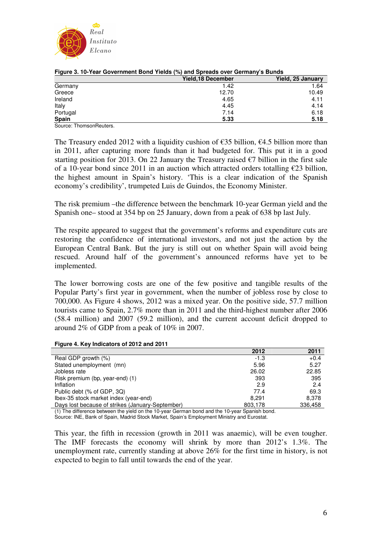

| . .                     | <b>Yield, 18 December</b> | Yield, 25 January |
|-------------------------|---------------------------|-------------------|
| Germany                 | 1.42                      | 1.64              |
| Greece                  | 12.70                     | 10.49             |
| Ireland                 | 4.65                      | 4.11              |
| Italy                   | 4.45                      | 4.14              |
| Portugal                | 7.14                      | 6.18              |
| Spain                   | 5.33                      | 5.18              |
| Source: ThomsonReuters. |                           |                   |

#### **Figure 3. 10-Year Government Bond Yields (%) and Spreads over Germany's Bunds**

The Treasury ended 2012 with a liquidity cushion of  $\epsilon$ 35 billion,  $\epsilon$ 4.5 billion more than in 2011, after capturing more funds than it had budgeted for. This put it in a good starting position for 2013. On 22 January the Treasury raised  $\epsilon$ 7 billion in the first sale of a 10-year bond since 2011 in an auction which attracted orders totalling  $\epsilon$ 23 billion, the highest amount in Spain's history. 'This is a clear indication of the Spanish economy's credibility', trumpeted Luis de Guindos, the Economy Minister.

The risk premium –the difference between the benchmark 10-year German yield and the Spanish one– stood at 354 bp on 25 January, down from a peak of 638 bp last July.

The respite appeared to suggest that the government's reforms and expenditure cuts are restoring the confidence of international investors, and not just the action by the European Central Bank. But the jury is still out on whether Spain will avoid being rescued. Around half of the government's announced reforms have yet to be implemented.

The lower borrowing costs are one of the few positive and tangible results of the Popular Party's first year in government, when the number of jobless rose by close to 700,000. As Figure 4 shows, 2012 was a mixed year. On the positive side, 57.7 million tourists came to Spain, 2.7% more than in 2011 and the third-highest number after 2006 (58.4 million) and 2007 (59.2 million), and the current account deficit dropped to around 2% of GDP from a peak of 10% in 2007.

|  | Figure 4. Key Indicators of 2012 and 2011 |  |  |
|--|-------------------------------------------|--|--|
|  |                                           |  |  |

|                                                  | 2012    | 2011    |
|--------------------------------------------------|---------|---------|
| Real GDP growth (%)                              | $-1.3$  | $+0.4$  |
| Stated unemployment (mn)                         | 5.96    | 5.27    |
| Jobless rate                                     | 26.02   | 22.85   |
| Risk premium (bp, year-end) (1)                  | 393     | 395     |
| Inflation                                        | 2.9     | 2.4     |
| Public debt (% of GDP, 3Q)                       | 77.4    | 69.3    |
| Ibex-35 stock market index (year-end)            | 8.291   | 8.378   |
| Days lost because of strikes (January-September) | 803,178 | 336,458 |

(1) The difference between the yield on the 10-year German bond and the 10-year Spanish bond. Source: INE, Bank of Spain, Madrid Stock Market, Spain's Employment Ministry and Eurostat.

This year, the fifth in recession (growth in 2011 was anaemic), will be even tougher. The IMF forecasts the economy will shrink by more than 2012's 1.3%. The unemployment rate, currently standing at above 26% for the first time in history, is not expected to begin to fall until towards the end of the year.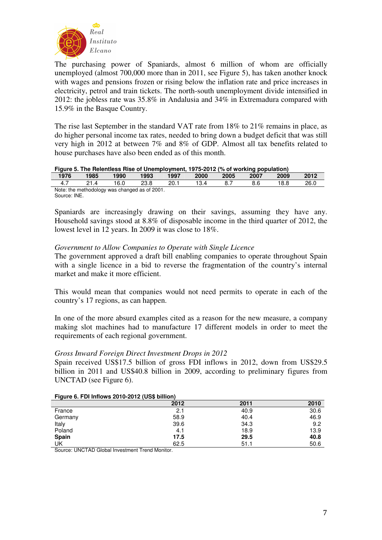

The purchasing power of Spaniards, almost 6 million of whom are officially unemployed (almost 700,000 more than in 2011, see Figure 5), has taken another knock with wages and pensions frozen or rising below the inflation rate and price increases in electricity, petrol and train tickets. The north-south unemployment divide intensified in 2012: the jobless rate was 35.8% in Andalusia and 34% in Extremadura compared with 15.9% in the Basque Country.

The rise last September in the standard VAT rate from 18% to 21% remains in place, as do higher personal income tax rates, needed to bring down a budget deficit that was still very high in 2012 at between 7% and 8% of GDP. Almost all tax benefits related to house purchases have also been ended as of this month.

### **Figure 5. The Relentless Rise of Unemployment, 1975-2012 (% of working population)**

| .<br>1976 | 1985                                          | 1990 | 1993 | 1997 | 2000 | 2005 | . .<br>2007 | 2009 | 2012 |
|-----------|-----------------------------------------------|------|------|------|------|------|-------------|------|------|
| 4.,       |                                               | 16.0 | 23.8 | חר   |      |      | 8.6         | 8.8  | 26.0 |
|           | Note: the methodology was changed as of 2001. |      |      |      |      |      |             |      |      |

Source: INE.

Spaniards are increasingly drawing on their savings, assuming they have any. Household savings stood at 8.8% of disposable income in the third quarter of 2012, the lowest level in 12 years. In 2009 it was close to 18%.

## *Government to Allow Companies to Operate with Single Licence*

The government approved a draft bill enabling companies to operate throughout Spain with a single licence in a bid to reverse the fragmentation of the country's internal market and make it more efficient.

This would mean that companies would not need permits to operate in each of the country's 17 regions, as can happen.

In one of the more absurd examples cited as a reason for the new measure, a company making slot machines had to manufacture 17 different models in order to meet the requirements of each regional government.

## *Gross Inward Foreign Direct Investment Drops in 2012*

Spain received US\$17.5 billion of gross FDI inflows in 2012, down from US\$29.5 billion in 2011 and US\$40.8 billion in 2009, according to preliminary figures from UNCTAD (see Figure 6).

| $1.1$ gut $\sigma$ . The imports zo to zo iz (000 billion) |      |      |      |  |  |
|------------------------------------------------------------|------|------|------|--|--|
|                                                            | 2012 | 2011 | 2010 |  |  |
| France                                                     | 2.1  | 40.9 | 30.6 |  |  |
| Germany                                                    | 58.9 | 40.4 | 46.9 |  |  |
| Italy                                                      | 39.6 | 34.3 | 9.2  |  |  |
| Poland                                                     | 4.1  | 18.9 | 13.9 |  |  |
| Spain                                                      | 17.5 | 29.5 | 40.8 |  |  |
| UK                                                         | 62.5 | 51.1 | 50.6 |  |  |

### **Figure 6. FDI Inflows 2010-2012 (US\$ billion)**

Source: UNCTAD Global Investment Trend Monitor.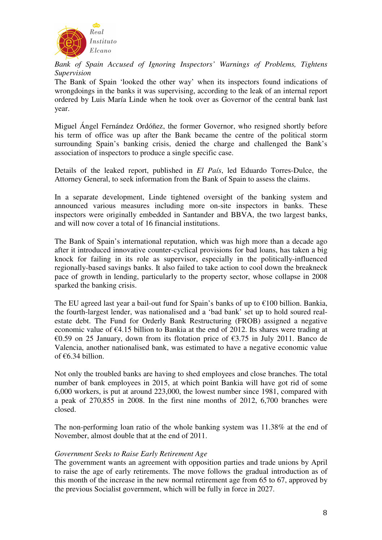

*Bank of Spain Accused of Ignoring Inspectors' Warnings of Problems, Tightens Supervision* 

The Bank of Spain 'looked the other way' when its inspectors found indications of wrongdoings in the banks it was supervising, according to the leak of an internal report ordered by Luis María Linde when he took over as Governor of the central bank last year.

Miguel Ángel Fernández Ordóñez, the former Governor, who resigned shortly before his term of office was up after the Bank became the centre of the political storm surrounding Spain's banking crisis, denied the charge and challenged the Bank's association of inspectors to produce a single specific case.

Details of the leaked report, published in *El País*, led Eduardo Torres-Dulce, the Attorney General, to seek information from the Bank of Spain to assess the claims.

In a separate development, Linde tightened oversight of the banking system and announced various measures including more on-site inspectors in banks. These inspectors were originally embedded in Santander and BBVA, the two largest banks, and will now cover a total of 16 financial institutions.

The Bank of Spain's international reputation, which was high more than a decade ago after it introduced innovative counter-cyclical provisions for bad loans, has taken a big knock for failing in its role as supervisor, especially in the politically-influenced regionally-based savings banks. It also failed to take action to cool down the breakneck pace of growth in lending, particularly to the property sector, whose collapse in 2008 sparked the banking crisis.

The EU agreed last year a bail-out fund for Spain's banks of up to  $\epsilon$ 100 billion. Bankia, the fourth-largest lender, was nationalised and a 'bad bank' set up to hold soured realestate debt. The Fund for Orderly Bank Restructuring (FROB) assigned a negative economic value of €4.15 billion to Bankia at the end of 2012. Its shares were trading at €0.59 on 25 January, down from its flotation price of  $€3.75$  in July 2011. Banco de Valencia, another nationalised bank, was estimated to have a negative economic value of €6.34 billion.

Not only the troubled banks are having to shed employees and close branches. The total number of bank employees in 2015, at which point Bankia will have got rid of some 6,000 workers, is put at around 223,000, the lowest number since 1981, compared with a peak of 270,855 in 2008. In the first nine months of 2012, 6,700 branches were closed.

The non-performing loan ratio of the whole banking system was 11.38% at the end of November, almost double that at the end of 2011.

## *Government Seeks to Raise Early Retirement Age*

The government wants an agreement with opposition parties and trade unions by April to raise the age of early retirements. The move follows the gradual introduction as of this month of the increase in the new normal retirement age from 65 to 67, approved by the previous Socialist government, which will be fully in force in 2027.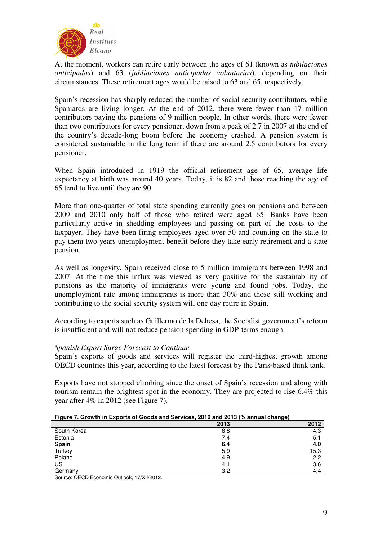

At the moment, workers can retire early between the ages of 61 (known as *jubilaciones anticipadas*) and 63 (*jubliaciones anticipadas voluntarias*), depending on their circumstances. These retirement ages would be raised to 63 and 65, respectively.

Spain's recession has sharply reduced the number of social security contributors, while Spaniards are living longer. At the end of 2012, there were fewer than 17 million contributors paying the pensions of 9 million people. In other words, there were fewer than two contributors for every pensioner, down from a peak of 2.7 in 2007 at the end of the country's decade-long boom before the economy crashed. A pension system is considered sustainable in the long term if there are around 2.5 contributors for every pensioner.

When Spain introduced in 1919 the official retirement age of 65, average life expectancy at birth was around 40 years. Today, it is 82 and those reaching the age of 65 tend to live until they are 90.

More than one-quarter of total state spending currently goes on pensions and between 2009 and 2010 only half of those who retired were aged 65. Banks have been particularly active in shedding employees and passing on part of the costs to the taxpayer. They have been firing employees aged over 50 and counting on the state to pay them two years unemployment benefit before they take early retirement and a state pension.

As well as longevity, Spain received close to 5 million immigrants between 1998 and 2007. At the time this influx was viewed as very positive for the sustainability of pensions as the majority of immigrants were young and found jobs. Today, the unemployment rate among immigrants is more than 30% and those still working and contributing to the social security system will one day retire in Spain.

According to experts such as Guillermo de la Dehesa, the Socialist government's reform is insufficient and will not reduce pension spending in GDP-terms enough.

## *Spanish Export Surge Forecast to Continue*

Spain's exports of goods and services will register the third-highest growth among OECD countries this year, according to the latest forecast by the Paris-based think tank.

Exports have not stopped climbing since the onset of Spain's recession and along with tourism remain the brightest spot in the economy. They are projected to rise 6.4% this year after 4% in 2012 (see Figure 7).

|  | Figure 7. Growth in Exports of Goods and Services, 2012 and 2013 (% annual change) |  |
|--|------------------------------------------------------------------------------------|--|
|  |                                                                                    |  |

|             | 2013 | 2012 |
|-------------|------|------|
| South Korea | 8.8  | 4.3  |
| Estonia     | 7.4  | 5.1  |
| Spain       | 6.4  | 4.0  |
| Turkey      | 5.9  | 15.3 |
| Poland      | 4.9  | 2.2  |
| US          | 4.1  | 3.6  |
| Germany     | 3.2  | 4.4  |

Source: OECD Economic Outlook, 17/XII/2012.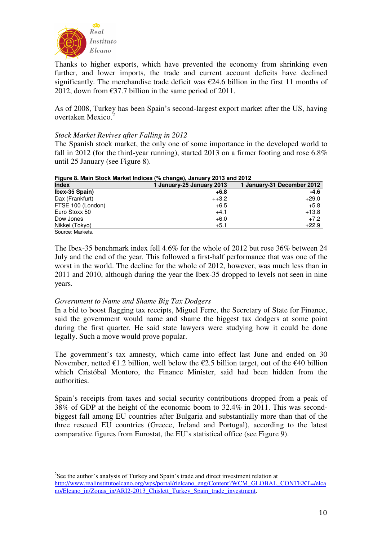

Thanks to higher exports, which have prevented the economy from shrinking even further, and lower imports, the trade and current account deficits have declined significantly. The merchandise trade deficit was  $\epsilon$ 24.6 billion in the first 11 months of 2012, down from  $\epsilon$ 37.7 billion in the same period of 2011.

As of 2008, Turkey has been Spain's second-largest export market after the US, having overtaken Mexico.<sup>2</sup>

## *Stock Market Revives after Falling in 2012*

The Spanish stock market, the only one of some importance in the developed world to fall in 2012 (for the third-year running), started 2013 on a firmer footing and rose 6.8% until 25 January (see Figure 8).

| Figure 8. Main Stock Market Indices (% change), January 2013 and 2012 |                           |                            |  |  |  |
|-----------------------------------------------------------------------|---------------------------|----------------------------|--|--|--|
| <b>Index</b>                                                          | 1 January-25 January 2013 | 1 January-31 December 2012 |  |  |  |
| Ibex-35 Spain)                                                        | $+6.8$                    | $-4.6$                     |  |  |  |
| Dax (Frankfurt)                                                       | $+13.2$                   | $+29.0$                    |  |  |  |
| FTSE 100 (London)                                                     | $+6.5$                    | $+5.8$                     |  |  |  |
| Euro Stoxx 50                                                         | $+4.1$                    | $+13.8$                    |  |  |  |
| Dow Jones                                                             | $+6.0$                    | $+7.2$                     |  |  |  |
| Nikkei (Tokyo)                                                        | $+5.1$                    | $+22.9$                    |  |  |  |
| Source: Markets.                                                      |                           |                            |  |  |  |

**Figure 8. Main Stock Market Indices (% change), January 2013 and 2012** 

The Ibex-35 benchmark index fell 4.6% for the whole of 2012 but rose 36% between 24 July and the end of the year. This followed a first-half performance that was one of the worst in the world. The decline for the whole of 2012, however, was much less than in 2011 and 2010, although during the year the Ibex-35 dropped to levels not seen in nine years.

## *Government to Name and Shame Big Tax Dodgers*

 $\overline{a}$ 

In a bid to boost flagging tax receipts, Miguel Ferre, the Secretary of State for Finance, said the government would name and shame the biggest tax dodgers at some point during the first quarter. He said state lawyers were studying how it could be done legally. Such a move would prove popular.

The government's tax amnesty, which came into effect last June and ended on 30 November, netted  $\epsilon$ 1.2 billion, well below the  $\epsilon$ 2.5 billion target, out of the  $\epsilon$ 40 billion which Cristóbal Montoro, the Finance Minister, said had been hidden from the authorities.

Spain's receipts from taxes and social security contributions dropped from a peak of 38% of GDP at the height of the economic boom to 32.4% in 2011. This was secondbiggest fall among EU countries after Bulgaria and substantially more than that of the three rescued EU countries (Greece, Ireland and Portugal), according to the latest comparative figures from Eurostat, the EU's statistical office (see Figure 9).

 $2$ See the author's analysis of Turkey and Spain's trade and direct investment relation at http://www.realinstitutoelcano.org/wps/portal/rielcano\_eng/Content?WCM\_GLOBAL\_CONTEXT=/elca no/Elcano\_in/Zonas\_in/ARI2-2013\_Chislett\_Turkey\_Spain\_trade\_investment.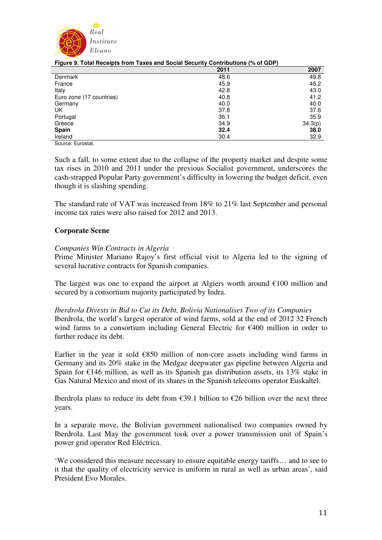

| -                        | $\mathbf{v}$<br>2011 | . .<br>2007 |
|--------------------------|----------------------|-------------|
| Denmark                  | 48.6                 | 49.8        |
| France                   | 45.9                 | 45.2        |
| Italy                    | 42.8                 | 43.0        |
| Euro zone (17 countries) | 40.8                 | 41.2        |
| Germany                  | 40.0                 | 40.0        |
| UK                       | 37.8                 | 37.6        |
| Portugal                 | 36.1                 | 35.9        |
| Greece                   | 34.9                 | 34.3(p)     |
| <b>Spain</b>             | 32.4                 | 38.0        |
| Ireland                  | 30.4                 | 32.9        |

|  | Figure 9. Total Receipts from Taxes and Social Security Contributions (% of GDP) |  |  |
|--|----------------------------------------------------------------------------------|--|--|
|  |                                                                                  |  |  |
|  |                                                                                  |  |  |
|  |                                                                                  |  |  |

Source: Eurostat.

Such a fall, to some extent due to the collapse of the property market and despite some tax rises in 2010 and 2011 under the previous Socialist government, underscores the cash-strapped Popular Party government's difficulty in lowering the budget deficit, even though it is slashing spending.

The standard rate of VAT was increased from 18% to 21% last September and personal income tax rates were also raised for 2012 and 2013.

## **Corporate Scene**

## *Companies Win Contracts in Algeria*

Prime Minister Mariano Rajoy's first official visit to Algeria led to the signing of several lucrative contracts for Spanish companies.

The largest was one to expand the airport at Algiers worth around  $€100$  million and secured by a consortium majority participated by Indra.

*Iberdrola Divests in Bid to Cut its Debt, Bolivia Nationalises Two of its Companies*  Iberdrola, the world's largest operator of wind farms, sold at the end of 2012 32 French wind farms to a consortium including General Electric for €400 million in order to further reduce its debt.

Earlier in the year it sold  $\epsilon$ 850 million of non-core assets including wind farms in Germany and its 20% stake in the Medgaz deepwater gas pipeline between Algeria and Spain for  $\epsilon$ 146 million, as well as its Spanish gas distribution assets, its 13% stake in Gas Natural Mexico and most of its shares in the Spanish telecoms operator Euskaltel.

Iberdrola plans to reduce its debt from  $\epsilon$ 39.1 billion to  $\epsilon$ 26 billion over the next three years.

In a separate move, the Bolivian government nationalised two companies owned by Iberdrola. Last May the government took over a power transmission unit of Spain's power grid operator Red Eléctrica.

'We considered this measure necessary to ensure equitable energy tariffs… and to see to it that the quality of electricity service is uniform in rural as well as urban areas', said President Evo Morales.